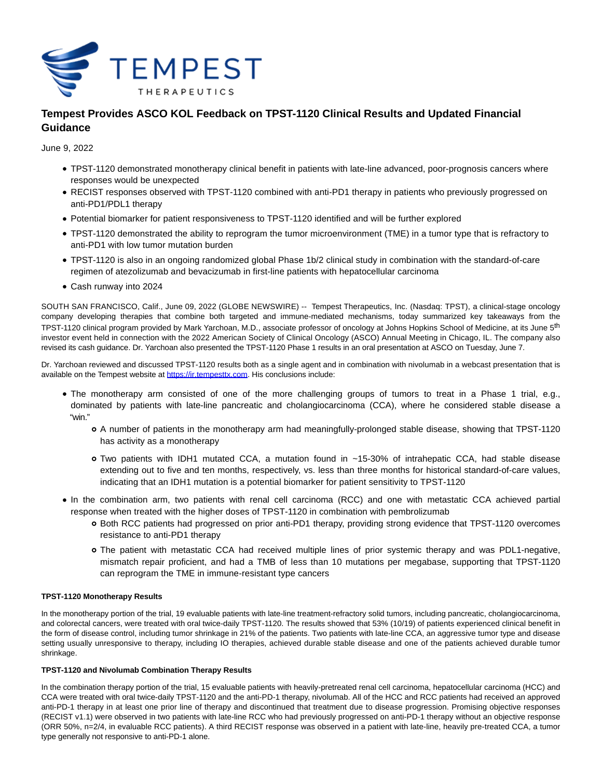

# **Tempest Provides ASCO KOL Feedback on TPST-1120 Clinical Results and Updated Financial Guidance**

June 9, 2022

- TPST-1120 demonstrated monotherapy clinical benefit in patients with late-line advanced, poor-prognosis cancers where responses would be unexpected
- RECIST responses observed with TPST-1120 combined with anti-PD1 therapy in patients who previously progressed on anti-PD1/PDL1 therapy
- Potential biomarker for patient responsiveness to TPST-1120 identified and will be further explored
- TPST-1120 demonstrated the ability to reprogram the tumor microenvironment (TME) in a tumor type that is refractory to anti-PD1 with low tumor mutation burden
- TPST-1120 is also in an ongoing randomized global Phase 1b/2 clinical study in combination with the standard-of-care regimen of atezolizumab and bevacizumab in first-line patients with hepatocellular carcinoma
- Cash runway into 2024

SOUTH SAN FRANCISCO, Calif., June 09, 2022 (GLOBE NEWSWIRE) -- Tempest Therapeutics, Inc. (Nasdaq: TPST), a clinical-stage oncology company developing therapies that combine both targeted and immune-mediated mechanisms, today summarized key takeaways from the TPST-1120 clinical program provided by Mark Yarchoan, M.D., associate professor of oncology at Johns Hopkins School of Medicine, at its June 5<sup>th</sup> investor event held in connection with the 2022 American Society of Clinical Oncology (ASCO) Annual Meeting in Chicago, IL. The company also revised its cash guidance. Dr. Yarchoan also presented the TPST-1120 Phase 1 results in an oral presentation at ASCO on Tuesday, June 7.

Dr. Yarchoan reviewed and discussed TPST-1120 results both as a single agent and in combination with nivolumab in a webcast presentation that is available on the Tempest website at [https://ir.tempesttx.com.](https://www.globenewswire.com/Tracker?data=SZa9n6evamFblKukQJ2fPpbVh4jSD0BnwzmCMl_Yz9ke8US3mzjXi66dDQxfLoGCvy-8ND4py13twLGt9A5rQTQPGe5B36A7nnx6jvowylQ=) His conclusions include:

- The monotherapy arm consisted of one of the more challenging groups of tumors to treat in a Phase 1 trial, e.g., dominated by patients with late-line pancreatic and cholangiocarcinoma (CCA), where he considered stable disease a "win."
	- A number of patients in the monotherapy arm had meaningfully-prolonged stable disease, showing that TPST-1120 has activity as a monotherapy
	- Two patients with IDH1 mutated CCA, a mutation found in ~15-30% of intrahepatic CCA, had stable disease extending out to five and ten months, respectively, vs. less than three months for historical standard-of-care values, indicating that an IDH1 mutation is a potential biomarker for patient sensitivity to TPST-1120
- In the combination arm, two patients with renal cell carcinoma (RCC) and one with metastatic CCA achieved partial response when treated with the higher doses of TPST-1120 in combination with pembrolizumab
	- Both RCC patients had progressed on prior anti-PD1 therapy, providing strong evidence that TPST-1120 overcomes resistance to anti-PD1 therapy
	- The patient with metastatic CCA had received multiple lines of prior systemic therapy and was PDL1-negative, mismatch repair proficient, and had a TMB of less than 10 mutations per megabase, supporting that TPST-1120 can reprogram the TME in immune-resistant type cancers

# **TPST-1120 Monotherapy Results**

In the monotherapy portion of the trial, 19 evaluable patients with late-line treatment-refractory solid tumors, including pancreatic, cholangiocarcinoma, and colorectal cancers, were treated with oral twice-daily TPST-1120. The results showed that 53% (10/19) of patients experienced clinical benefit in the form of disease control, including tumor shrinkage in 21% of the patients. Two patients with late-line CCA, an aggressive tumor type and disease setting usually unresponsive to therapy, including IO therapies, achieved durable stable disease and one of the patients achieved durable tumor shrinkage.

# **TPST-1120 and Nivolumab Combination Therapy Results**

In the combination therapy portion of the trial, 15 evaluable patients with heavily-pretreated renal cell carcinoma, hepatocellular carcinoma (HCC) and CCA were treated with oral twice-daily TPST-1120 and the anti-PD-1 therapy, nivolumab. All of the HCC and RCC patients had received an approved anti-PD-1 therapy in at least one prior line of therapy and discontinued that treatment due to disease progression. Promising objective responses (RECIST v1.1) were observed in two patients with late-line RCC who had previously progressed on anti-PD-1 therapy without an objective response (ORR 50%, n=2/4, in evaluable RCC patients). A third RECIST response was observed in a patient with late-line, heavily pre-treated CCA, a tumor type generally not responsive to anti-PD-1 alone.